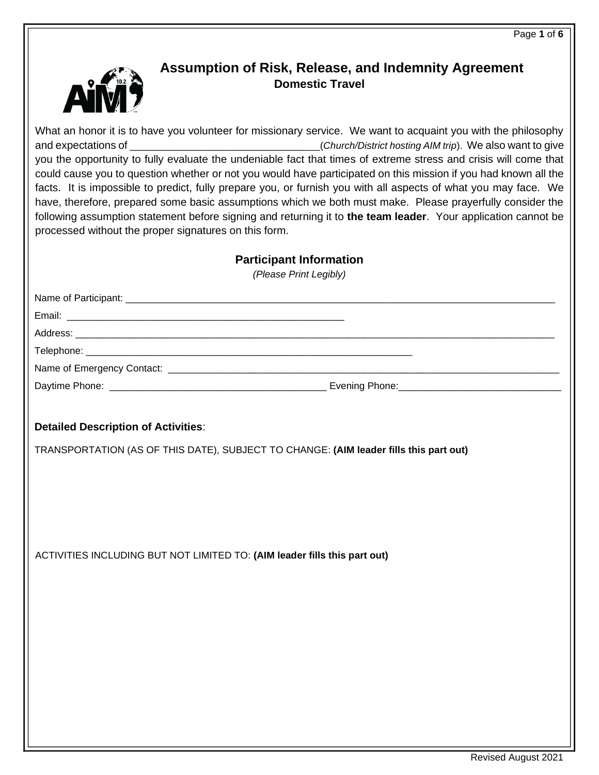

# **Assumption of Risk, Release, and Indemnity Agreement Domestic Travel**

| What an honor it is to have you volunteer for missionary service. We want to acquaint you with the philosophy<br>you the opportunity to fully evaluate the undeniable fact that times of extreme stress and crisis will come that<br>could cause you to question whether or not you would have participated on this mission if you had known all the<br>facts. It is impossible to predict, fully prepare you, or furnish you with all aspects of what you may face. We<br>have, therefore, prepared some basic assumptions which we both must make. Please prayerfully consider the<br>following assumption statement before signing and returning it to the team leader. Your application cannot be<br>processed without the proper signatures on this form. |  |  |  |
|----------------------------------------------------------------------------------------------------------------------------------------------------------------------------------------------------------------------------------------------------------------------------------------------------------------------------------------------------------------------------------------------------------------------------------------------------------------------------------------------------------------------------------------------------------------------------------------------------------------------------------------------------------------------------------------------------------------------------------------------------------------|--|--|--|
| <b>Participant Information</b><br>(Please Print Legibly)                                                                                                                                                                                                                                                                                                                                                                                                                                                                                                                                                                                                                                                                                                       |  |  |  |
|                                                                                                                                                                                                                                                                                                                                                                                                                                                                                                                                                                                                                                                                                                                                                                |  |  |  |
|                                                                                                                                                                                                                                                                                                                                                                                                                                                                                                                                                                                                                                                                                                                                                                |  |  |  |
|                                                                                                                                                                                                                                                                                                                                                                                                                                                                                                                                                                                                                                                                                                                                                                |  |  |  |
|                                                                                                                                                                                                                                                                                                                                                                                                                                                                                                                                                                                                                                                                                                                                                                |  |  |  |
|                                                                                                                                                                                                                                                                                                                                                                                                                                                                                                                                                                                                                                                                                                                                                                |  |  |  |
|                                                                                                                                                                                                                                                                                                                                                                                                                                                                                                                                                                                                                                                                                                                                                                |  |  |  |
| <b>Detailed Description of Activities:</b>                                                                                                                                                                                                                                                                                                                                                                                                                                                                                                                                                                                                                                                                                                                     |  |  |  |
| TRANSPORTATION (AS OF THIS DATE), SUBJECT TO CHANGE: (AIM leader fills this part out)                                                                                                                                                                                                                                                                                                                                                                                                                                                                                                                                                                                                                                                                          |  |  |  |
|                                                                                                                                                                                                                                                                                                                                                                                                                                                                                                                                                                                                                                                                                                                                                                |  |  |  |
| ACTIVITIES INCLUDING BUT NOT LIMITED TO: (AIM leader fills this part out)                                                                                                                                                                                                                                                                                                                                                                                                                                                                                                                                                                                                                                                                                      |  |  |  |
|                                                                                                                                                                                                                                                                                                                                                                                                                                                                                                                                                                                                                                                                                                                                                                |  |  |  |
|                                                                                                                                                                                                                                                                                                                                                                                                                                                                                                                                                                                                                                                                                                                                                                |  |  |  |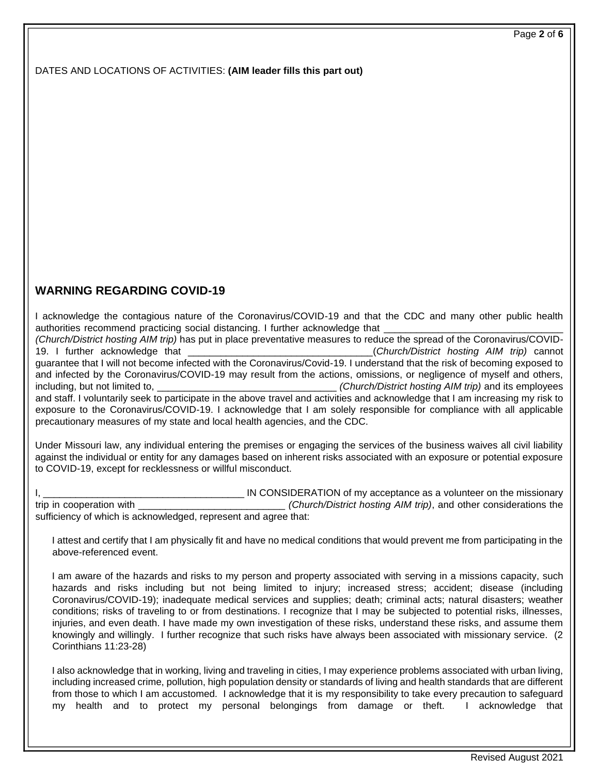DATES AND LOCATIONS OF ACTIVITIES: **(AIM leader fills this part out)**

# **WARNING REGARDING COVID-19**

I acknowledge the contagious nature of the Coronavirus/COVID-19 and that the CDC and many other public health authorities recommend practicing social distancing. I further acknowledge that

*(Church/District hosting AIM trip)* has put in place preventative measures to reduce the spread of the Coronavirus/COVID-19. I further acknowledge that \_\_\_\_\_\_\_\_\_\_\_\_\_\_\_\_\_\_\_\_\_\_\_\_\_\_\_\_\_\_\_\_\_\_(*Church/District hosting AIM trip)* cannot guarantee that I will not become infected with the Coronavirus/Covid-19. I understand that the risk of becoming exposed to and infected by the Coronavirus/COVID-19 may result from the actions, omissions, or negligence of myself and others, including, but not limited to, **we are also including** to the *(Church/District hosting AIM trip)* and its employees and staff. I voluntarily seek to participate in the above travel and activities and acknowledge that I am increasing my risk to exposure to the Coronavirus/COVID-19. I acknowledge that I am solely responsible for compliance with all applicable precautionary measures of my state and local health agencies, and the CDC.

Under Missouri law, any individual entering the premises or engaging the services of the business waives all civil liability against the individual or entity for any damages based on inherent risks associated with an exposure or potential exposure to COVID-19, except for recklessness or willful misconduct.

IN CONSIDERATION of my acceptance as a volunteer on the missionary trip in cooperation with \_\_\_\_\_\_\_\_\_\_\_\_\_\_\_\_\_\_\_\_\_\_\_\_\_\_\_ *(Church/District hosting AIM trip)*, and other considerations the sufficiency of which is acknowledged, represent and agree that:

I attest and certify that I am physically fit and have no medical conditions that would prevent me from participating in the above-referenced event.

I am aware of the hazards and risks to my person and property associated with serving in a missions capacity, such hazards and risks including but not being limited to injury; increased stress; accident; disease (including Coronavirus/COVID-19); inadequate medical services and supplies; death; criminal acts; natural disasters; weather conditions; risks of traveling to or from destinations. I recognize that I may be subjected to potential risks, illnesses, injuries, and even death. I have made my own investigation of these risks, understand these risks, and assume them knowingly and willingly. I further recognize that such risks have always been associated with missionary service. (2 Corinthians 11:23-28)

I also acknowledge that in working, living and traveling in cities, I may experience problems associated with urban living, including increased crime, pollution, high population density or standards of living and health standards that are different from those to which I am accustomed. I acknowledge that it is my responsibility to take every precaution to safeguard my health and to protect my personal belongings from damage or theft. I acknowledge that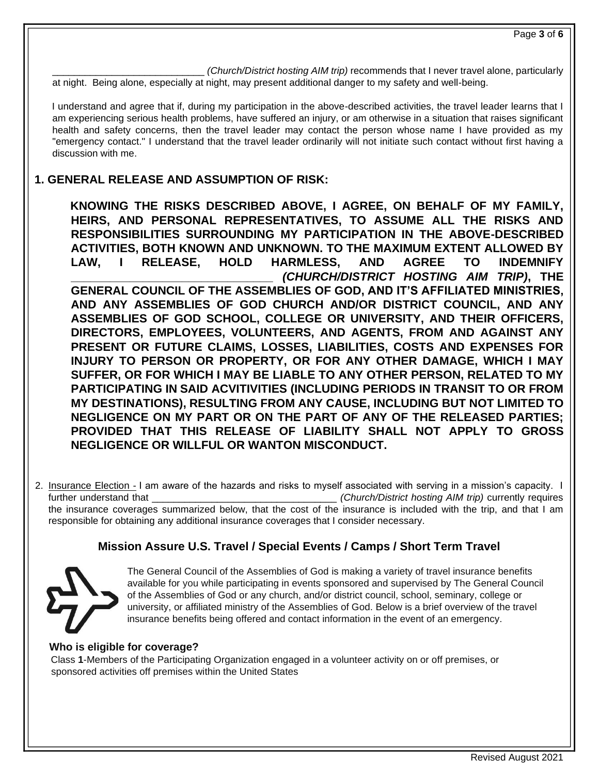\_\_\_\_\_\_\_\_\_\_\_\_\_\_\_\_\_\_\_\_\_\_\_\_\_\_\_\_ *(Church/District hosting AIM trip)* recommends that I never travel alone, particularly at night. Being alone, especially at night, may present additional danger to my safety and well-being.

I understand and agree that if, during my participation in the above-described activities, the travel leader learns that I am experiencing serious health problems, have suffered an injury, or am otherwise in a situation that raises significant health and safety concerns, then the travel leader may contact the person whose name I have provided as my "emergency contact." I understand that the travel leader ordinarily will not initiate such contact without first having a discussion with me.

# **1. GENERAL RELEASE AND ASSUMPTION OF RISK:**

**KNOWING THE RISKS DESCRIBED ABOVE, I AGREE, ON BEHALF OF MY FAMILY, HEIRS, AND PERSONAL REPRESENTATIVES, TO ASSUME ALL THE RISKS AND RESPONSIBILITIES SURROUNDING MY PARTICIPATION IN THE ABOVE-DESCRIBED ACTIVITIES, BOTH KNOWN AND UNKNOWN. TO THE MAXIMUM EXTENT ALLOWED BY LAW, I RELEASE, HOLD HARMLESS, AND AGREE TO INDEMNIFY \_\_\_\_\_\_\_\_\_\_\_\_\_\_\_\_\_\_\_\_\_\_\_\_\_\_\_\_\_\_\_** *(CHURCH/DISTRICT HOSTING AIM TRIP)***, THE GENERAL COUNCIL OF THE ASSEMBLIES OF GOD, AND IT'S AFFILIATED MINISTRIES, AND ANY ASSEMBLIES OF GOD CHURCH AND/OR DISTRICT COUNCIL, AND ANY ASSEMBLIES OF GOD SCHOOL, COLLEGE OR UNIVERSITY, AND THEIR OFFICERS, DIRECTORS, EMPLOYEES, VOLUNTEERS, AND AGENTS, FROM AND AGAINST ANY PRESENT OR FUTURE CLAIMS, LOSSES, LIABILITIES, COSTS AND EXPENSES FOR INJURY TO PERSON OR PROPERTY, OR FOR ANY OTHER DAMAGE, WHICH I MAY SUFFER, OR FOR WHICH I MAY BE LIABLE TO ANY OTHER PERSON, RELATED TO MY PARTICIPATING IN SAID ACVITIVITIES (INCLUDING PERIODS IN TRANSIT TO OR FROM MY DESTINATIONS), RESULTING FROM ANY CAUSE, INCLUDING BUT NOT LIMITED TO NEGLIGENCE ON MY PART OR ON THE PART OF ANY OF THE RELEASED PARTIES; PROVIDED THAT THIS RELEASE OF LIABILITY SHALL NOT APPLY TO GROSS NEGLIGENCE OR WILLFUL OR WANTON MISCONDUCT.** 

2. Insurance Election - I am aware of the hazards and risks to myself associated with serving in a mission's capacity. I further understand that \_\_\_\_\_\_\_\_\_\_\_\_\_\_\_\_\_\_\_\_\_\_\_\_\_\_\_\_\_\_\_\_\_\_ *(Church/District hosting AIM trip)* currently requires the insurance coverages summarized below, that the cost of the insurance is included with the trip, and that I am responsible for obtaining any additional insurance coverages that I consider necessary.

# **Mission Assure U.S. Travel / Special Events / Camps / Short Term Travel**



The General Council of the Assemblies of God is making a variety of travel insurance benefits available for you while participating in events sponsored and supervised by The General Council of the Assemblies of God or any church, and/or district council, school, seminary, college or university, or affiliated ministry of the Assemblies of God. Below is a brief overview of the travel insurance benefits being offered and contact information in the event of an emergency.

## **Who is eligible for coverage?**

Class **1**-Members of the Participating Organization engaged in a volunteer activity on or off premises, or sponsored activities off premises within the United States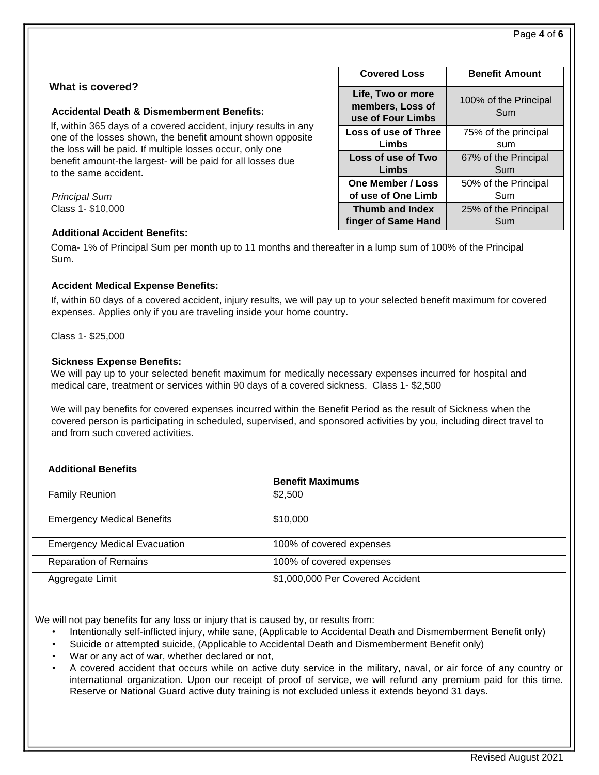### **What is covered?**

#### **Accidental Death & Dismemberment Benefits:**

If, within 365 days of a covered accident, injury results in any one of the losses shown, the benefit amount shown opposite the loss will be paid. If multiple losses occur, only one benefit amount-the largest- will be paid for all losses due to the same accident.

*Principal Sum* Class 1- \$10,000

| <b>Additional Accident Benefits:</b> |  |
|--------------------------------------|--|
|                                      |  |

| <b>Covered Loss</b>                                        | <b>Benefit Amount</b>        |
|------------------------------------------------------------|------------------------------|
| Life, Two or more<br>members, Loss of<br>use of Four Limbs | 100% of the Principal<br>Sum |
| Loss of use of Three                                       | 75% of the principal         |
| Limbs                                                      | sum                          |
| Loss of use of Two                                         | 67% of the Principal         |
| Limbs                                                      | Sum                          |
| One Member / Loss                                          | 50% of the Principal         |
| of use of One Limb                                         | Sum                          |
| <b>Thumb and Index</b>                                     | 25% of the Principal         |
| finger of Same Hand                                        | Sum                          |

Coma- 1% of Principal Sum per month up to 11 months and thereafter in a lump sum of 100% of the Principal Sum.

#### **Accident Medical Expense Benefits:**

If, within 60 days of a covered accident, injury results, we will pay up to your selected benefit maximum for covered expenses. Applies only if you are traveling inside your home country.

Class 1- \$25,000

#### **Sickness Expense Benefits:**

We will pay up to your selected benefit maximum for medically necessary expenses incurred for hospital and medical care, treatment or services within 90 days of a covered sickness. Class 1- \$2,500

We will pay benefits for covered expenses incurred within the Benefit Period as the result of Sickness when the covered person is participating in scheduled, supervised, and sponsored activities by you, including direct travel to and from such covered activities.

### **Additional Benefits**

|                                     | <b>Benefit Maximums</b>          |  |
|-------------------------------------|----------------------------------|--|
| <b>Family Reunion</b>               | \$2,500                          |  |
| <b>Emergency Medical Benefits</b>   | \$10,000                         |  |
| <b>Emergency Medical Evacuation</b> | 100% of covered expenses         |  |
| <b>Reparation of Remains</b>        | 100% of covered expenses         |  |
| Aggregate Limit                     | \$1,000,000 Per Covered Accident |  |

We will not pay benefits for any loss or injury that is caused by, or results from:

- Intentionally self-inflicted injury, while sane, (Applicable to Accidental Death and Dismemberment Benefit only)
- Suicide or attempted suicide, (Applicable to Accidental Death and Dismemberment Benefit only)
- War or any act of war, whether declared or not,
- A covered accident that occurs while on active duty service in the military, naval, or air force of any country or international organization. Upon our receipt of proof of service, we will refund any premium paid for this time. Reserve or National Guard active duty training is not excluded unless it extends beyond 31 days.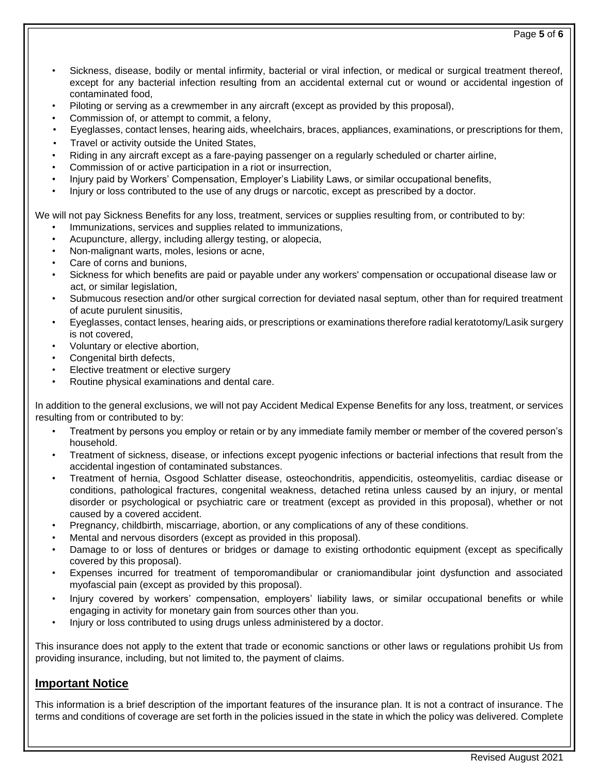- Sickness, disease, bodily or mental infirmity, bacterial or viral infection, or medical or surgical treatment thereof, except for any bacterial infection resulting from an accidental external cut or wound or accidental ingestion of contaminated food,
- Piloting or serving as a crewmember in any aircraft (except as provided by this proposal),
- Commission of, or attempt to commit, a felony,
- Eyeglasses, contact lenses, hearing aids, wheelchairs, braces, appliances, examinations, or prescriptions for them,
- Travel or activity outside the United States,
- Riding in any aircraft except as a fare-paying passenger on a regularly scheduled or charter airline,
- Commission of or active participation in a riot or insurrection,
- Injury paid by Workers' Compensation, Employer's Liability Laws, or similar occupational benefits,
- Injury or loss contributed to the use of any drugs or narcotic, except as prescribed by a doctor.

We will not pay Sickness Benefits for any loss, treatment, services or supplies resulting from, or contributed to by:

- Immunizations, services and supplies related to immunizations,
- Acupuncture, allergy, including allergy testing, or alopecia,
- Non-malignant warts, moles, lesions or acne,
- Care of corns and bunions.
- Sickness for which benefits are paid or payable under any workers' compensation or occupational disease law or act, or similar legislation,
- Submucous resection and/or other surgical correction for deviated nasal septum, other than for required treatment of acute purulent sinusitis,
- Eyeglasses, contact lenses, hearing aids, or prescriptions or examinations therefore radial keratotomy/Lasik surgery is not covered,
- Voluntary or elective abortion,
- Congenital birth defects,
- Elective treatment or elective surgery
- Routine physical examinations and dental care.

In addition to the general exclusions, we will not pay Accident Medical Expense Benefits for any loss, treatment, or services resulting from or contributed to by:

- Treatment by persons you employ or retain or by any immediate family member or member of the covered person's household.
- Treatment of sickness, disease, or infections except pyogenic infections or bacterial infections that result from the accidental ingestion of contaminated substances.
- Treatment of hernia, Osgood Schlatter disease, osteochondritis, appendicitis, osteomyelitis, cardiac disease or conditions, pathological fractures, congenital weakness, detached retina unless caused by an injury, or mental disorder or psychological or psychiatric care or treatment (except as provided in this proposal), whether or not caused by a covered accident.
- Pregnancy, childbirth, miscarriage, abortion, or any complications of any of these conditions.
- Mental and nervous disorders (except as provided in this proposal).
- Damage to or loss of dentures or bridges or damage to existing orthodontic equipment (except as specifically covered by this proposal).
- Expenses incurred for treatment of temporomandibular or craniomandibular joint dysfunction and associated myofascial pain (except as provided by this proposal).
- Injury covered by workers' compensation, employers' liability laws, or similar occupational benefits or while engaging in activity for monetary gain from sources other than you.
- Injury or loss contributed to using drugs unless administered by a doctor.

This insurance does not apply to the extent that trade or economic sanctions or other laws or regulations prohibit Us from providing insurance, including, but not limited to, the payment of claims.

## **Important Notice**

This information is a brief description of the important features of the insurance plan. It is not a contract of insurance. The terms and conditions of coverage are set forth in the policies issued in the state in which the policy was delivered. Complete